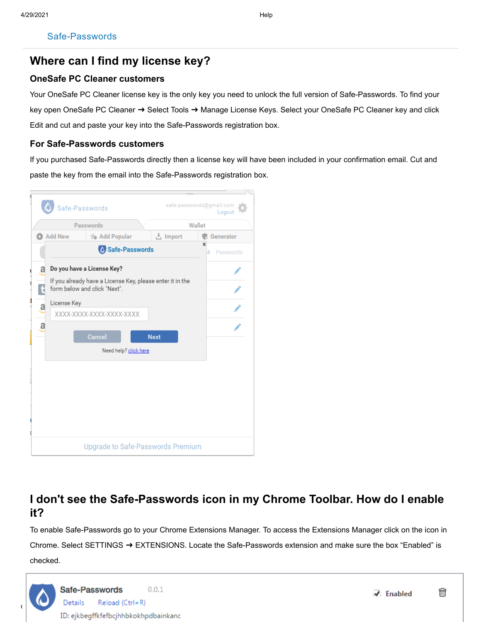# **Where can I find my license key?**

### **OneSafe PC Cleaner customers**

Your OneSafe PC Cleaner license key is the only key you need to unlock the full version of Safe-Passwords. To find your key open OneSafe PC Cleaner ➜ Select Tools ➜ Manage License Keys. Select your OneSafe PC Cleaner key and click Edit and cut and paste your key into the Safe-Passwords registration box.

### **For Safe-Passwords customers**

If you purchased Safe-Passwords directly then a license key will have been included in your confirmation email. Cut and paste the key from the email into the Safe-Passwords registration box.



# **I don't see the Safe-Passwords icon in my Chrome Toolbar. How do I enable it?**

To enable Safe-Passwords go to your Chrome Extensions Manager. To access the Extensions Manager click on the icon in Chrome. Select SETTINGS ➜ EXTENSIONS. Locate the Safe-Passwords extension and make sure the box "Enabled" is checked.

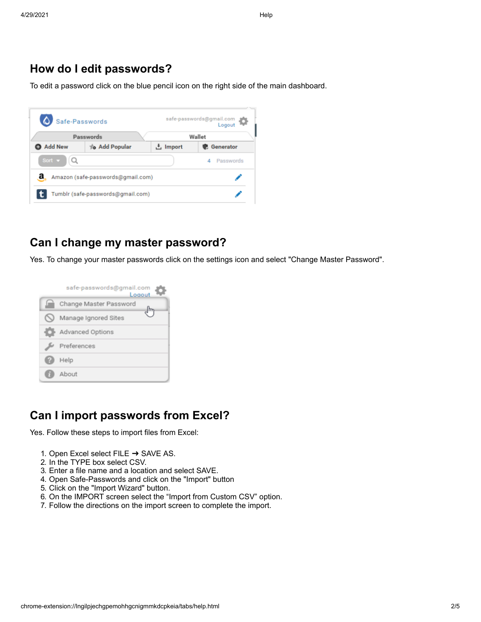### **How do I edit passwords?**

To edit a password click on the blue pencil icon on the right side of the main dashboard.

| Safe-Passwords            |                                   |          | safe-passwords@gmail.com |  |  |
|---------------------------|-----------------------------------|----------|--------------------------|--|--|
|                           | Passwords                         |          | Wallet                   |  |  |
| Add New                   | to Add Popular                    | ≛ Import | <b>B</b> Generator       |  |  |
| Sort $\blacktriangledown$ |                                   |          | Passwords<br>4           |  |  |
| a                         | Amazon (safe-passwords@gmail.com) |          |                          |  |  |
|                           | Tumblr (safe-passwords@gmail.com) |          |                          |  |  |

### **Can I change my master password?**

Yes. To change your master passwords click on the settings icon and select "Change Master Password".



### **Can I import passwords from Excel?**

Yes. Follow these steps to import files from Excel:

- 1. Open Excel select FILE  $\rightarrow$  SAVE AS.
- 2. In the TYPE box select CSV.
- 3. Enter a file name and a location and select SAVE.
- 4. Open Safe-Passwords and click on the "Import" button
- 5. Click on the "Import Wizard" button.
- 6. On the IMPORT screen select the "Import from Custom CSV" option.
- 7. Follow the directions on the import screen to complete the import.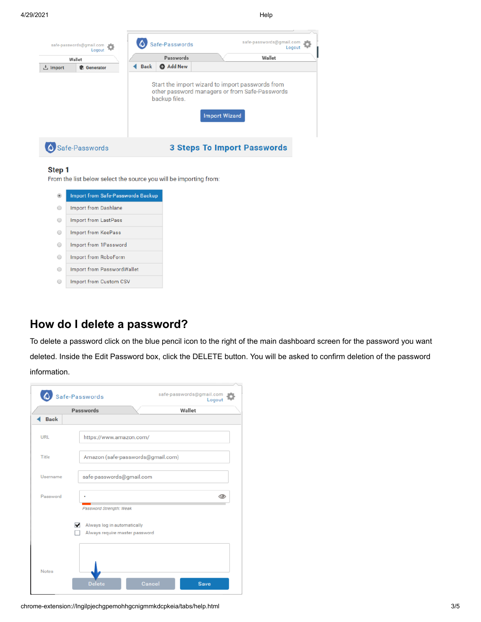|                 | safe-passwords@gmail.com |             | Safe-Passwords |                      | safe-passwords@gmail.com<br>Logout                                                                 |  |
|-----------------|--------------------------|-------------|----------------|----------------------|----------------------------------------------------------------------------------------------------|--|
|                 | Wallet                   |             | Passwords      |                      | Wallet                                                                                             |  |
| <b>と</b> Import | <b>C</b> Generator       | <b>Back</b> | <b>Add New</b> |                      |                                                                                                    |  |
|                 |                          |             | backup files.  | <b>Import Wizard</b> | Start the import wizard to import passwords from<br>other password managers or from Safe-Passwords |  |
|                 | fe-Passwords             |             |                |                      | <b>3 Steps To Import Passwords</b>                                                                 |  |

#### Step 1

From the list below select the source you will be importing from:

|   | <b>Import from Safe-Passwords Backup</b> |
|---|------------------------------------------|
|   | <b>Import from Dashlane</b>              |
| ⊜ | <b>Import from LastPass</b>              |
| ⊜ | <b>Import from KeePass</b>               |
|   | Import from 1Password                    |
|   | <b>Import from RoboForm</b>              |
|   | <b>Import from PasswordWallet</b>        |
|   | <b>Import from Custom CSV</b>            |

## **How do I delete a password?**

To delete a password click on the blue pencil icon to the right of the main dashboard screen for the password you want deleted. Inside the Edit Password box, click the DELETE button. You will be asked to confirm deletion of the password information.

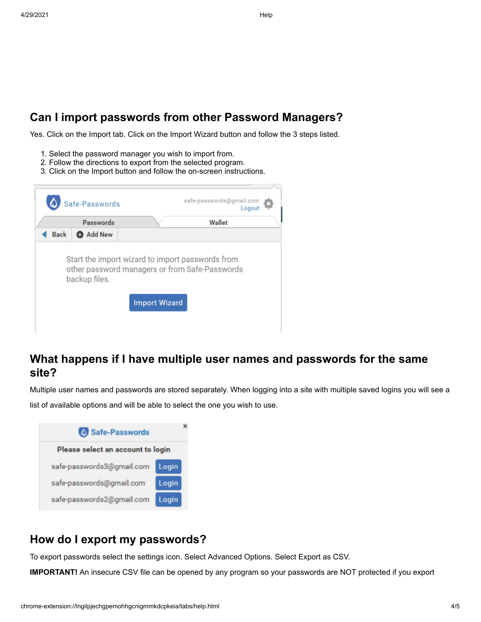# **Can I import passwords from other Password Managers?**

Yes. Click on the Import tab. Click on the Import Wizard button and follow the 3 steps listed.

- 1. Select the password manager you wish to import from.
- 2. Follow the directions to export from the selected program.
- 3. Click on the Import button and follow the on-screen instructions.

|             | Safe-Passwords<br>Passwords | Logout<br>Wallet                                                                                   |  |
|-------------|-----------------------------|----------------------------------------------------------------------------------------------------|--|
| <b>Back</b> | <b>Add New</b>              |                                                                                                    |  |
|             |                             |                                                                                                    |  |
|             | backup files.               | Start the import wizard to import passwords from<br>other password managers or from Safe-Passwords |  |

# **What happens if I have multiple user names and passwords for the same site?**

Multiple user names and passwords are stored separately. When logging into a site with multiple saved logins you will see a list of available options and will be able to select the one you wish to use.



# **How do I export my passwords?**

To export passwords select the settings icon. Select Advanced Options. Select Export as CSV.

**IMPORTANT!** An insecure CSV file can be opened by any program so your passwords are NOT protected if you export